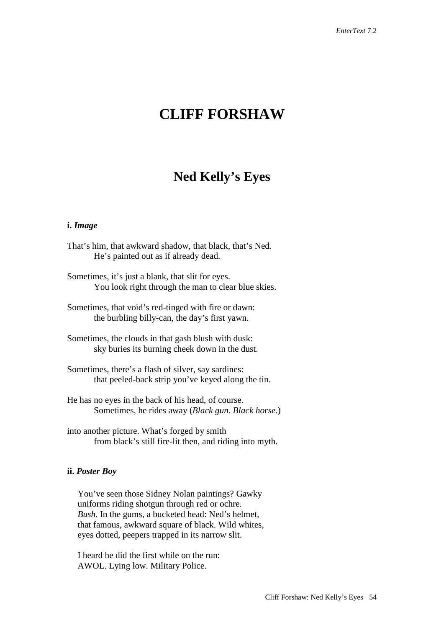# **CLIFF FORSHAW**

# **Ned Kelly's Eyes**

#### **i.** *Image*

- That's him, that awkward shadow, that black, that's Ned. He's painted out as if already dead.
- Sometimes, it's just a blank, that slit for eyes. You look right through the man to clear blue skies.
- Sometimes, that void's red-tinged with fire or dawn: the burbling billy-can, the day's first yawn.
- Sometimes, the clouds in that gash blush with dusk: sky buries its burning cheek down in the dust.
- Sometimes, there's a flash of silver, say sardines: that peeled-back strip you've keyed along the tin.
- He has no eyes in the back of his head, of course. Sometimes, he rides away (*Black gun. Black horse*.)
- into another picture. What's forged by smith from black's still fire-lit then, and riding into myth.

#### **ii.** *Poster Boy*

You've seen those Sidney Nolan paintings? Gawky uniforms riding shotgun through red or ochre. *Bush.* In the gums, a bucketed head: Ned's helmet, that famous, awkward square of black. Wild whites, eyes dotted, peepers trapped in its narrow slit.

I heard he did the first while on the run: AWOL. Lying low. Military Police.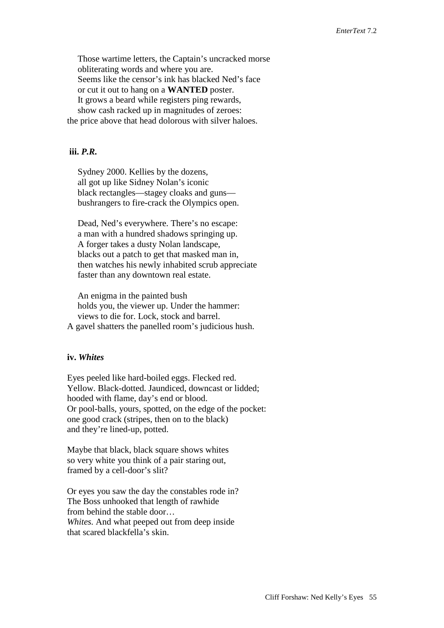Those wartime letters, the Captain's uncracked morse obliterating words and where you are. Seems like the censor's ink has blacked Ned's face or cut it out to hang on a **WANTED** poster. It grows a beard while registers ping rewards, show cash racked up in magnitudes of zeroes: the price above that head dolorous with silver haloes.

# **iii.** *P.R.*

Sydney 2000. Kellies by the dozens, all got up like Sidney Nolan's iconic black rectangles—stagey cloaks and guns bushrangers to fire-crack the Olympics open.

Dead, Ned's everywhere. There's no escape: a man with a hundred shadows springing up. A forger takes a dusty Nolan landscape, blacks out a patch to get that masked man in, then watches his newly inhabited scrub appreciate faster than any downtown real estate.

An enigma in the painted bush holds you, the viewer up. Under the hammer: views to die for. Lock, stock and barrel. A gavel shatters the panelled room's judicious hush.

#### **iv.** *Whites*

Eyes peeled like hard-boiled eggs. Flecked red. Yellow. Black-dotted. Jaundiced, downcast or lidded; hooded with flame, day's end or blood. Or pool-balls, yours, spotted, on the edge of the pocket: one good crack (stripes, then on to the black) and they're lined-up, potted.

Maybe that black, black square shows whites so very white you think of a pair staring out, framed by a cell-door's slit?

Or eyes you saw the day the constables rode in? The Boss unhooked that length of rawhide from behind the stable door… *Whites.* And what peeped out from deep inside that scared blackfella's skin.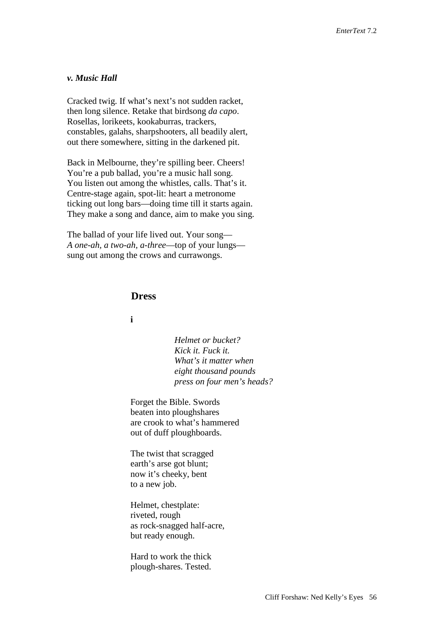#### *v. Music Hall*

Cracked twig. If what's next's not sudden racket, then long silence. Retake that birdsong *da capo*. Rosellas, lorikeets, kookaburras, trackers, constables, galahs, sharpshooters, all beadily alert, out there somewhere, sitting in the darkened pit.

Back in Melbourne, they're spilling beer. Cheers! You're a pub ballad, you're a music hall song. You listen out among the whistles, calls. That's it. Centre-stage again, spot-lit: heart a metronome ticking out long bars—doing time till it starts again. They make a song and dance, aim to make you sing.

The ballad of your life lived out. Your song— *A one-ah, a two-ah, a-three*—top of your lungs sung out among the crows and currawongs.

# **Dress**

### **i**

*Helmet or bucket? Kick it. Fuck it. What's it matter when eight thousand pounds press on four men's heads?*

Forget the Bible. Swords beaten into ploughshares are crook to what's hammered out of duff ploughboards.

The twist that scragged earth's arse got blunt; now it's cheeky, bent to a new job.

Helmet, chestplate: riveted, rough as rock-snagged half-acre, but ready enough.

Hard to work the thick plough-shares. Tested.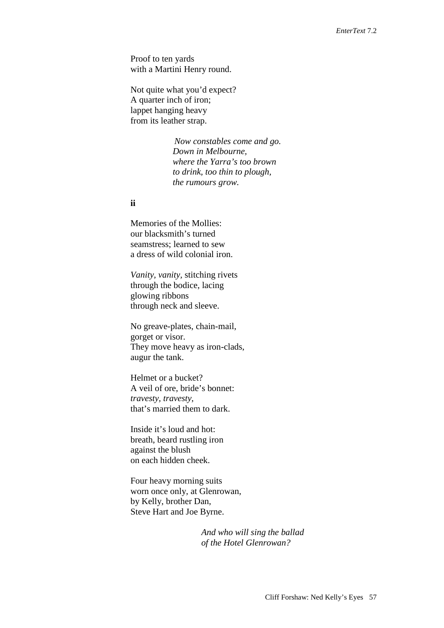Proof to ten yards with a Martini Henry round.

Not quite what you'd expect? A quarter inch of iron; lappet hanging heavy from its leather strap.

> *Now constables come and go. Down in Melbourne, where the Yarra's too brown to drink, too thin to plough, the rumours grow.*

#### **ii**

Memories of the Mollies: our blacksmith's turned seamstress; learned to sew a dress of wild colonial iron.

*Vanity, vanity,* stitching rivets through the bodice, lacing glowing ribbons through neck and sleeve.

No greave-plates, chain-mail, gorget or visor. They move heavy as iron-clads, augur the tank.

Helmet or a bucket? A veil of ore, bride's bonnet: *travesty, travesty*, that's married them to dark.

Inside it's loud and hot: breath, beard rustling iron against the blush on each hidden cheek.

Four heavy morning suits worn once only, at Glenrowan, by Kelly, brother Dan, Steve Hart and Joe Byrne.

> *And who will sing the ballad of the Hotel Glenrowan?*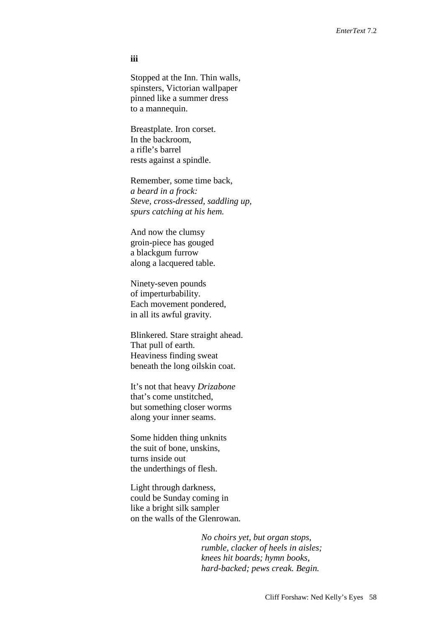#### **iii**

Stopped at the Inn. Thin walls, spinsters, Victorian wallpaper pinned like a summer dress to a mannequin.

Breastplate. Iron corset. In the backroom, a rifle's barrel rests against a spindle.

Remember, some time back, *a beard in a frock: Steve, cross-dressed, saddling up, spurs catching at his hem.*

And now the clumsy groin-piece has gouged a blackgum furrow along a lacquered table.

Ninety-seven pounds of imperturbability. Each movement pondered, in all its awful gravity.

Blinkered. Stare straight ahead. That pull of earth. Heaviness finding sweat beneath the long oilskin coat.

It's not that heavy *Drizabone* that's come unstitched, but something closer worms along your inner seams.

Some hidden thing unknits the suit of bone, unskins, turns inside out the underthings of flesh.

Light through darkness, could be Sunday coming in like a bright silk sampler on the walls of the Glenrowan.

> *No choirs yet, but organ stops, rumble, clacker of heels in aisles; knees hit boards; hymn books, hard-backed; pews creak. Begin.*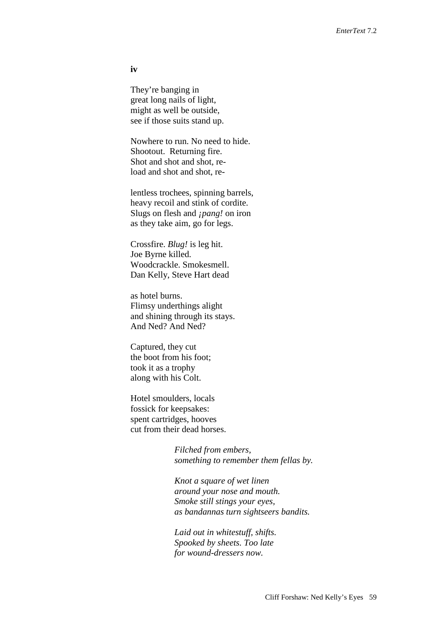**iv**

They're banging in great long nails of light, might as well be outside, see if those suits stand up.

Nowhere to run. No need to hide. Shootout. Returning fire. Shot and shot, reload and shot and shot, re-

lentless trochees, spinning barrels, heavy recoil and stink of cordite. Slugs on flesh and *¡pang!* on iron as they take aim, go for legs.

Crossfire. *Blug!* is leg hit. Joe Byrne killed. Woodcrackle. Smokesmell. Dan Kelly, Steve Hart dead

as hotel burns. Flimsy underthings alight and shining through its stays. And Ned? And Ned?

Captured, they cut the boot from his foot; took it as a trophy along with his Colt.

Hotel smoulders, locals fossick for keepsakes: spent cartridges, hooves cut from their dead horses.

> *Filched from embers, something to remember them fellas by.*

*Knot a square of wet linen around your nose and mouth. Smoke still stings your eyes, as bandannas turn sightseers bandits.* 

*Laid out in whitestuff, shifts. Spooked by sheets. Too late for wound-dressers now.*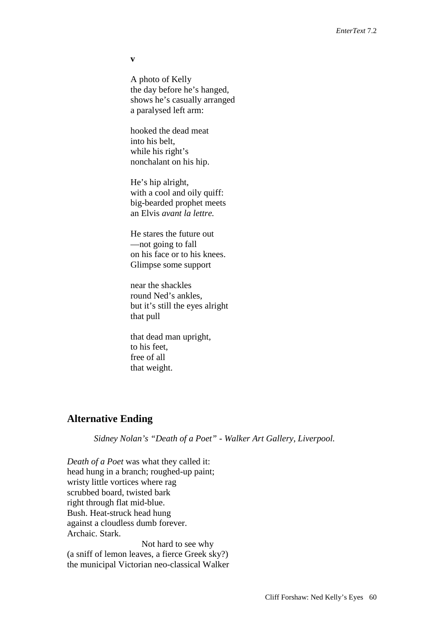**v**

A photo of Kelly the day before he's hanged, shows he's casually arranged a paralysed left arm:

hooked the dead meat into his belt, while his right's nonchalant on his hip.

He's hip alright, with a cool and oily quiff: big-bearded prophet meets an Elvis *avant la lettre.*

He stares the future out —not going to fall on his face or to his knees. Glimpse some support

near the shackles round Ned's ankles, but it's still the eyes alright that pull

that dead man upright, to his feet, free of all that weight.

## **Alternative Ending**

*Sidney Nolan's "Death of a Poet" - Walker Art Gallery, Liverpool.*

*Death of a Poet* was what they called it: head hung in a branch; roughed-up paint; wristy little vortices where rag scrubbed board, twisted bark right through flat mid-blue. Bush. Heat-struck head hung against a cloudless dumb forever. Archaic. Stark.

Not hard to see why (a sniff of lemon leaves, a fierce Greek sky?) the municipal Victorian neo-classical Walker